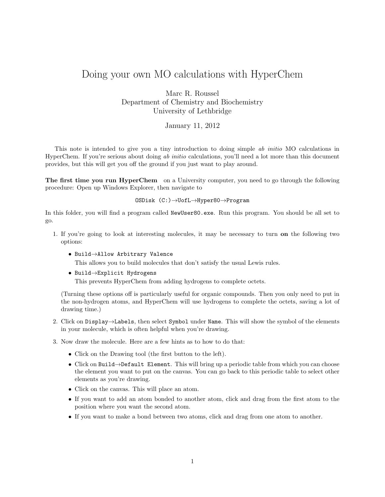## Doing your own MO calculations with HyperChem

Marc R. Roussel Department of Chemistry and Biochemistry University of Lethbridge

## January 11, 2012

This note is intended to give you a tiny introduction to doing simple ab initio MO calculations in HyperChem. If you're serious about doing ab initio calculations, you'll need a lot more than this document provides, but this will get you off the ground if you just want to play around.

The first time you run HyperChem on a University computer, you need to go through the following procedure: Open up Windows Explorer, then navigate to

## OSDisk (C:)→UofL→Hyper80→Program

In this folder, you will find a program called NewUser80.exe. Run this program. You should be all set to go.

- 1. If you're going to look at interesting molecules, it may be necessary to turn on the following two options:
	- Build→Allow Arbitrary Valence

This allows you to build molecules that don't satisfy the usual Lewis rules.

• Build→Explicit Hydrogens

This prevents HyperChem from adding hydrogens to complete octets.

(Turning these options off is particularly useful for organic compounds. Then you only need to put in the non-hydrogen atoms, and HyperChem will use hydrogens to complete the octets, saving a lot of drawing time.)

- 2. Click on Display→Labels, then select Symbol under Name. This will show the symbol of the elements in your molecule, which is often helpful when you're drawing.
- 3. Now draw the molecule. Here are a few hints as to how to do that:
	- Click on the Drawing tool (the first button to the left).
	- Click on Build→Default Element. This will bring up a periodic table from which you can choose the element you want to put on the canvas. You can go back to this periodic table to select other elements as you're drawing.
	- Click on the canvas. This will place an atom.
	- If you want to add an atom bonded to another atom, click and drag from the first atom to the position where you want the second atom.
	- If you want to make a bond between two atoms, click and drag from one atom to another.